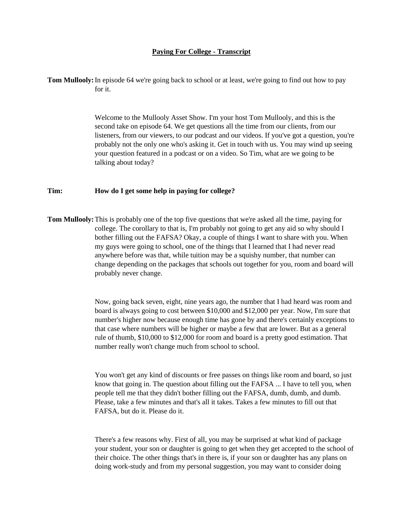## **Paying For College - Transcript**

**Tom Mullooly:**In episode 64 we're going back to school or at least, we're going to find out how to pay for it.

> Welcome to the Mullooly Asset Show. I'm your host Tom Mullooly, and this is the second take on episode 64. We get questions all the time from our clients, from our listeners, from our viewers, to our podcast and our videos. If you've got a question, you're probably not the only one who's asking it. Get in touch with us. You may wind up seeing your question featured in a podcast or on a video. So Tim, what are we going to be talking about today?

## **Tim: How do I get some help in paying for college?**

**Tom Mullooly:**This is probably one of the top five questions that we're asked all the time, paying for college. The corollary to that is, I'm probably not going to get any aid so why should I bother filling out the FAFSA? Okay, a couple of things I want to share with you. When my guys were going to school, one of the things that I learned that I had never read anywhere before was that, while tuition may be a squishy number, that number can change depending on the packages that schools out together for you, room and board will probably never change.

> Now, going back seven, eight, nine years ago, the number that I had heard was room and board is always going to cost between \$10,000 and \$12,000 per year. Now, I'm sure that number's higher now because enough time has gone by and there's certainly exceptions to that case where numbers will be higher or maybe a few that are lower. But as a general rule of thumb, \$10,000 to \$12,000 for room and board is a pretty good estimation. That number really won't change much from school to school.

> You won't get any kind of discounts or free passes on things like room and board, so just know that going in. The question about filling out the FAFSA ... I have to tell you, when people tell me that they didn't bother filling out the FAFSA, dumb, dumb, and dumb. Please, take a few minutes and that's all it takes. Takes a few minutes to fill out that FAFSA, but do it. Please do it.

> There's a few reasons why. First of all, you may be surprised at what kind of package your student, your son or daughter is going to get when they get accepted to the school of their choice. The other things that's in there is, if your son or daughter has any plans on doing work-study and from my personal suggestion, you may want to consider doing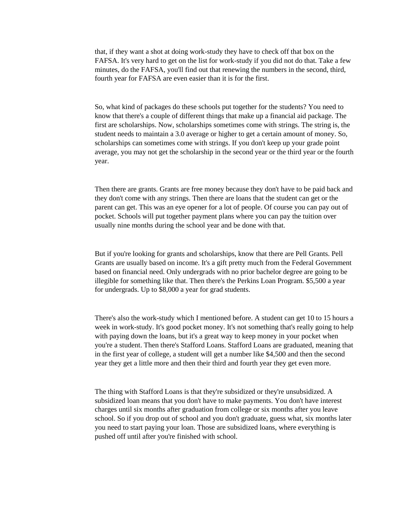that, if they want a shot at doing work-study they have to check off that box on the FAFSA. It's very hard to get on the list for work-study if you did not do that. Take a few minutes, do the FAFSA, you'll find out that renewing the numbers in the second, third, fourth year for FAFSA are even easier than it is for the first.

So, what kind of packages do these schools put together for the students? You need to know that there's a couple of different things that make up a financial aid package. The first are scholarships. Now, scholarships sometimes come with strings. The string is, the student needs to maintain a 3.0 average or higher to get a certain amount of money. So, scholarships can sometimes come with strings. If you don't keep up your grade point average, you may not get the scholarship in the second year or the third year or the fourth year.

Then there are grants. Grants are free money because they don't have to be paid back and they don't come with any strings. Then there are loans that the student can get or the parent can get. This was an eye opener for a lot of people. Of course you can pay out of pocket. Schools will put together payment plans where you can pay the tuition over usually nine months during the school year and be done with that.

But if you're looking for grants and scholarships, know that there are Pell Grants. Pell Grants are usually based on income. It's a gift pretty much from the Federal Government based on financial need. Only undergrads with no prior bachelor degree are going to be illegible for something like that. Then there's the Perkins Loan Program. \$5,500 a year for undergrads. Up to \$8,000 a year for grad students.

There's also the work-study which I mentioned before. A student can get 10 to 15 hours a week in work-study. It's good pocket money. It's not something that's really going to help with paying down the loans, but it's a great way to keep money in your pocket when you're a student. Then there's Stafford Loans. Stafford Loans are graduated, meaning that in the first year of college, a student will get a number like \$4,500 and then the second year they get a little more and then their third and fourth year they get even more.

The thing with Stafford Loans is that they're subsidized or they're unsubsidized. A subsidized loan means that you don't have to make payments. You don't have interest charges until six months after graduation from college or six months after you leave school. So if you drop out of school and you don't graduate, guess what, six months later you need to start paying your loan. Those are subsidized loans, where everything is pushed off until after you're finished with school.